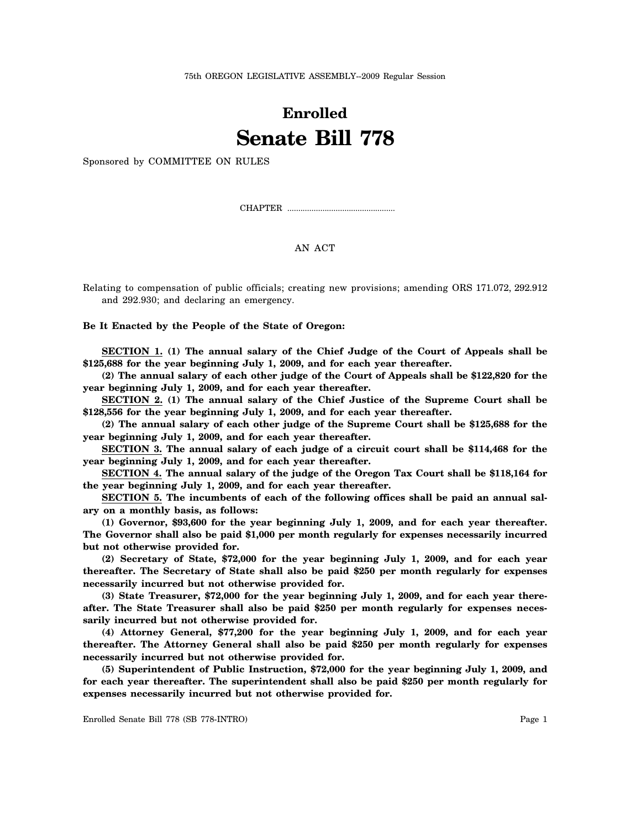75th OREGON LEGISLATIVE ASSEMBLY--2009 Regular Session

## **Enrolled Senate Bill 778**

Sponsored by COMMITTEE ON RULES

CHAPTER .................................................

## AN ACT

Relating to compensation of public officials; creating new provisions; amending ORS 171.072, 292.912 and 292.930; and declaring an emergency.

**Be It Enacted by the People of the State of Oregon:**

**SECTION 1. (1) The annual salary of the Chief Judge of the Court of Appeals shall be \$125,688 for the year beginning July 1, 2009, and for each year thereafter.**

**(2) The annual salary of each other judge of the Court of Appeals shall be \$122,820 for the year beginning July 1, 2009, and for each year thereafter.**

**SECTION 2. (1) The annual salary of the Chief Justice of the Supreme Court shall be \$128,556 for the year beginning July 1, 2009, and for each year thereafter.**

**(2) The annual salary of each other judge of the Supreme Court shall be \$125,688 for the year beginning July 1, 2009, and for each year thereafter.**

**SECTION 3. The annual salary of each judge of a circuit court shall be \$114,468 for the year beginning July 1, 2009, and for each year thereafter.**

**SECTION 4. The annual salary of the judge of the Oregon Tax Court shall be \$118,164 for the year beginning July 1, 2009, and for each year thereafter.**

**SECTION 5. The incumbents of each of the following offices shall be paid an annual salary on a monthly basis, as follows:**

**(1) Governor, \$93,600 for the year beginning July 1, 2009, and for each year thereafter. The Governor shall also be paid \$1,000 per month regularly for expenses necessarily incurred but not otherwise provided for.**

**(2) Secretary of State, \$72,000 for the year beginning July 1, 2009, and for each year thereafter. The Secretary of State shall also be paid \$250 per month regularly for expenses necessarily incurred but not otherwise provided for.**

**(3) State Treasurer, \$72,000 for the year beginning July 1, 2009, and for each year thereafter. The State Treasurer shall also be paid \$250 per month regularly for expenses necessarily incurred but not otherwise provided for.**

**(4) Attorney General, \$77,200 for the year beginning July 1, 2009, and for each year thereafter. The Attorney General shall also be paid \$250 per month regularly for expenses necessarily incurred but not otherwise provided for.**

**(5) Superintendent of Public Instruction, \$72,000 for the year beginning July 1, 2009, and for each year thereafter. The superintendent shall also be paid \$250 per month regularly for expenses necessarily incurred but not otherwise provided for.**

Enrolled Senate Bill 778 (SB 778-INTRO) Page 1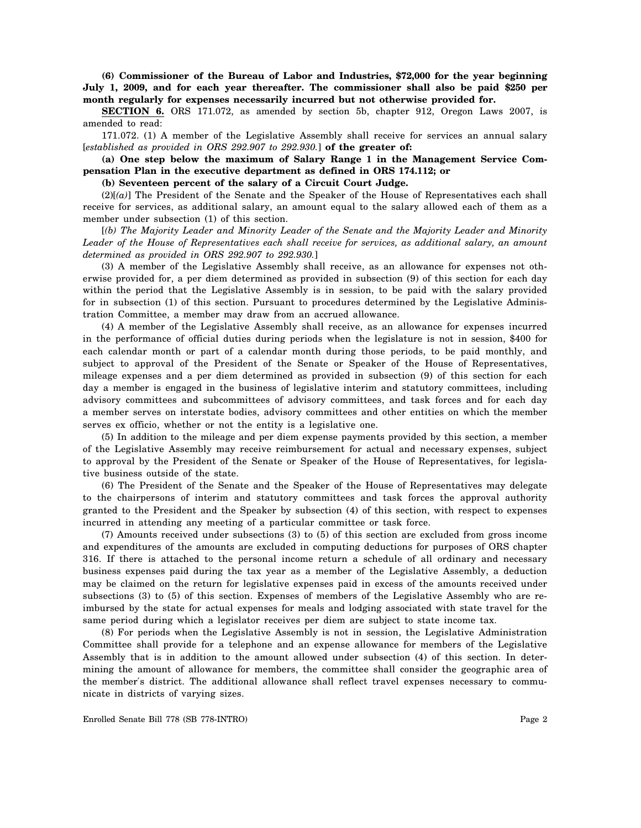**(6) Commissioner of the Bureau of Labor and Industries, \$72,000 for the year beginning July 1, 2009, and for each year thereafter. The commissioner shall also be paid \$250 per month regularly for expenses necessarily incurred but not otherwise provided for.**

**SECTION 6.** ORS 171.072, as amended by section 5b, chapter 912, Oregon Laws 2007, is amended to read:

171.072. (1) A member of the Legislative Assembly shall receive for services an annual salary [*established as provided in ORS 292.907 to 292.930.*] **of the greater of:**

**(a) One step below the maximum of Salary Range 1 in the Management Service Compensation Plan in the executive department as defined in ORS 174.112; or**

**(b) Seventeen percent of the salary of a Circuit Court Judge.**

(2)[*(a)*] The President of the Senate and the Speaker of the House of Representatives each shall receive for services, as additional salary, an amount equal to the salary allowed each of them as a member under subsection (1) of this section.

[*(b) The Majority Leader and Minority Leader of the Senate and the Majority Leader and Minority Leader of the House of Representatives each shall receive for services, as additional salary, an amount determined as provided in ORS 292.907 to 292.930.*]

(3) A member of the Legislative Assembly shall receive, as an allowance for expenses not otherwise provided for, a per diem determined as provided in subsection (9) of this section for each day within the period that the Legislative Assembly is in session, to be paid with the salary provided for in subsection (1) of this section. Pursuant to procedures determined by the Legislative Administration Committee, a member may draw from an accrued allowance.

(4) A member of the Legislative Assembly shall receive, as an allowance for expenses incurred in the performance of official duties during periods when the legislature is not in session, \$400 for each calendar month or part of a calendar month during those periods, to be paid monthly, and subject to approval of the President of the Senate or Speaker of the House of Representatives, mileage expenses and a per diem determined as provided in subsection (9) of this section for each day a member is engaged in the business of legislative interim and statutory committees, including advisory committees and subcommittees of advisory committees, and task forces and for each day a member serves on interstate bodies, advisory committees and other entities on which the member serves ex officio, whether or not the entity is a legislative one.

(5) In addition to the mileage and per diem expense payments provided by this section, a member of the Legislative Assembly may receive reimbursement for actual and necessary expenses, subject to approval by the President of the Senate or Speaker of the House of Representatives, for legislative business outside of the state.

(6) The President of the Senate and the Speaker of the House of Representatives may delegate to the chairpersons of interim and statutory committees and task forces the approval authority granted to the President and the Speaker by subsection (4) of this section, with respect to expenses incurred in attending any meeting of a particular committee or task force.

(7) Amounts received under subsections (3) to (5) of this section are excluded from gross income and expenditures of the amounts are excluded in computing deductions for purposes of ORS chapter 316. If there is attached to the personal income return a schedule of all ordinary and necessary business expenses paid during the tax year as a member of the Legislative Assembly, a deduction may be claimed on the return for legislative expenses paid in excess of the amounts received under subsections (3) to (5) of this section. Expenses of members of the Legislative Assembly who are reimbursed by the state for actual expenses for meals and lodging associated with state travel for the same period during which a legislator receives per diem are subject to state income tax.

(8) For periods when the Legislative Assembly is not in session, the Legislative Administration Committee shall provide for a telephone and an expense allowance for members of the Legislative Assembly that is in addition to the amount allowed under subsection (4) of this section. In determining the amount of allowance for members, the committee shall consider the geographic area of the member′s district. The additional allowance shall reflect travel expenses necessary to communicate in districts of varying sizes.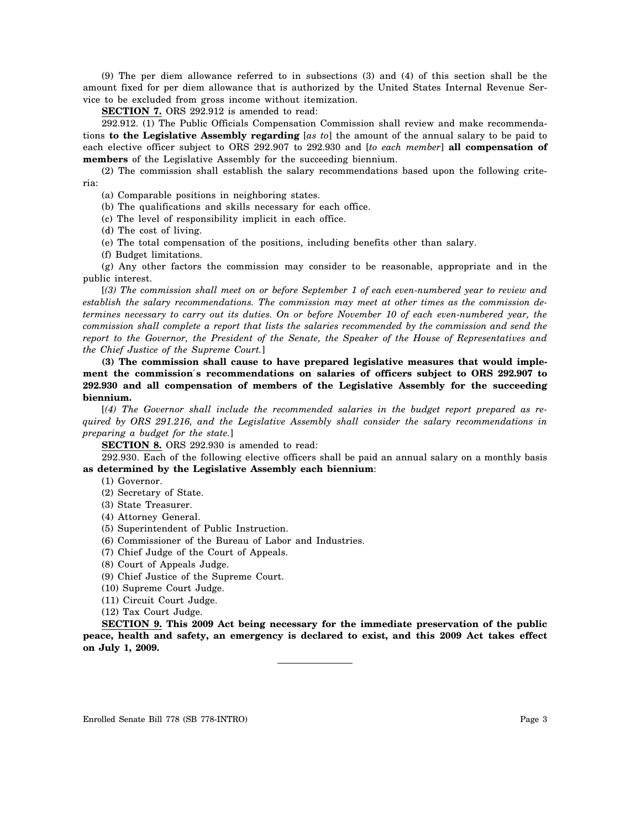(9) The per diem allowance referred to in subsections (3) and (4) of this section shall be the amount fixed for per diem allowance that is authorized by the United States Internal Revenue Service to be excluded from gross income without itemization.

**SECTION 7.** ORS 292.912 is amended to read:

292.912. (1) The Public Officials Compensation Commission shall review and make recommendations **to the Legislative Assembly regarding** [*as to*] the amount of the annual salary to be paid to each elective officer subject to ORS 292.907 to 292.930 and [*to each member*] **all compensation of members** of the Legislative Assembly for the succeeding biennium.

(2) The commission shall establish the salary recommendations based upon the following criteria:

(a) Comparable positions in neighboring states.

(b) The qualifications and skills necessary for each office.

(c) The level of responsibility implicit in each office.

(d) The cost of living.

(e) The total compensation of the positions, including benefits other than salary.

(f) Budget limitations.

(g) Any other factors the commission may consider to be reasonable, appropriate and in the public interest.

[*(3) The commission shall meet on or before September 1 of each even-numbered year to review and establish the salary recommendations. The commission may meet at other times as the commission determines necessary to carry out its duties. On or before November 10 of each even-numbered year, the commission shall complete a report that lists the salaries recommended by the commission and send the report to the Governor, the President of the Senate, the Speaker of the House of Representatives and the Chief Justice of the Supreme Court.*]

**(3) The commission shall cause to have prepared legislative measures that would implement the commission**′**s recommendations on salaries of officers subject to ORS 292.907 to 292.930 and all compensation of members of the Legislative Assembly for the succeeding biennium.**

[*(4) The Governor shall include the recommended salaries in the budget report prepared as required by ORS 291.216, and the Legislative Assembly shall consider the salary recommendations in preparing a budget for the state.*]

**SECTION 8.** ORS 292.930 is amended to read:

292.930. Each of the following elective officers shall be paid an annual salary on a monthly basis **as determined by the Legislative Assembly each biennium**:

(1) Governor.

- (2) Secretary of State.
- (3) State Treasurer.
- (4) Attorney General.
- (5) Superintendent of Public Instruction.
- (6) Commissioner of the Bureau of Labor and Industries.
- (7) Chief Judge of the Court of Appeals.
- (8) Court of Appeals Judge.

(9) Chief Justice of the Supreme Court.

(10) Supreme Court Judge.

(11) Circuit Court Judge.

(12) Tax Court Judge.

**SECTION 9. This 2009 Act being necessary for the immediate preservation of the public peace, health and safety, an emergency is declared to exist, and this 2009 Act takes effect on July 1, 2009.**